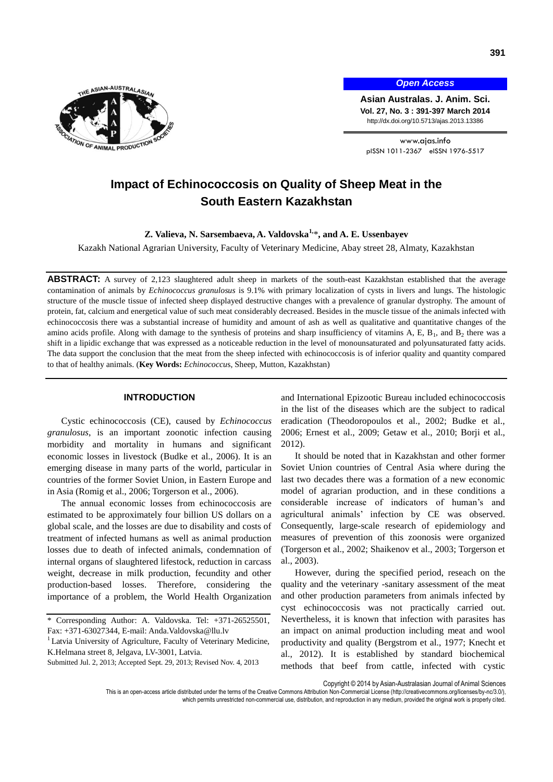

*Open Access*

**Asian Australas. J. Anim. Sci. Vol. 27, No. 3 : 391-397 March 2014** http://dx.doi.org/10.5713/ajas.2013.13386

www.ajas.info pISSN 1011-2367 eISSN 1976-5517

# **Impact of Echinococcosis on Quality of Sheep Meat in the South Eastern Kazakhstan**

**Z. Valieva, N. Sarsembaeva, A. Valdovska1,**\***, and A. E. Ussenbayev**

Kazakh National Agrarian University, Faculty of Veterinary Medicine, Abay street 28, Almaty, Kazakhstan

**ABSTRACT:** A survey of 2,123 slaughtered adult sheep in markets of the south-east Kazakhstan established that the average contamination of animals by *Echinococcus granulosus* is 9.1% with primary localization of cysts in livers and lungs. The histologic structure of the muscle tissue of infected sheep displayed destructive changes with a prevalence of granular dystrophy. The amount of protein, fat, calcium and energetical value of such meat considerably decreased. Besides in the muscle tissue of the animals infected with echinococcosis there was a substantial increase of humidity and amount of ash as well as qualitative and quantitative changes of the amino acids profile. Along with damage to the synthesis of proteins and sharp insufficiency of vitamins  $A$ ,  $E$ ,  $B_1$ , and  $B_2$  there was a shift in a lipidic exchange that was expressed as a noticeable reduction in the level of monounsaturated and polyunsaturated fatty acids. The data support the conclusion that the meat from the sheep infected with echinococcosis is of inferior quality and quantity compared to that of healthy animals. (**Key Words:** *Echinococcu*s, Sheep, Mutton, Kazakhstan)

# **INTRODUCTION**

Cystic echinococcosis (CE), caused by *Echinococcus granulosus*, is an important zoonotic infection causing morbidity and mortality in humans and significant economic losses in livestock (Budke et al., 2006). It is an emerging disease in many parts of the world, particular in countries of the former Soviet Union, in Eastern Europe and in Asia (Romig et al., 2006; Torgerson et al., 2006).

The annual economic losses from echinococcosis are estimated to be approximately four billion US dollars on a global scale, and the losses are due to disability and costs of treatment of infected humans as well as animal production losses due to death of infected animals, condemnation of internal organs of slaughtered lifestock, reduction in carcass weight, decrease in milk production, fecundity and other production-based losses. Therefore, considering the importance of a problem, the World Health Organization

<sup>1</sup> Latvia University of Agriculture, Faculty of Veterinary Medicine, K.Helmana street 8, Jelgava, LV-3001, Latvia.

Submitted Jul. 2, 2013; Accepted Sept. 29, 2013; Revised Nov. 4, 2013

and International Epizootic Bureau included echinococcosis in the list of the diseases which are the subject to radical eradication (Theodoropoulos et al., 2002; Budke et al., 2006; Ernest et al., 2009; Getaw et al., 2010; Borji et al., 2012).

It should be noted that in Kazakhstan and other former Soviet Union countries of Central Asia where during the last two decades there was a formation of a new economic model of agrarian production, and in these conditions a considerable increase of indicators of human's and agricultural animals' infection by CE was observed. Consequently, large-scale research of epidemiology and measures of prevention of this zoonosis were organized (Torgerson et al., 2002; Shaikenov et al., 2003; Torgerson et al., 2003).

However, during the specified period, reseach on the quality and the veterinary -sanitary assessment of the meat and other production parameters from animals infected by cyst echinococcosis was not practically carried out. Nevertheless, it is known that infection with parasites has an impact on animal production including meat and wool productivity and quality (Bergstrom et al., 1977; Knecht et al., 2012). It is established by standard biochemical methods that beef from cattle, infected with cystic

Copyright © 2014 by Asian-Australasian Journal of Animal Sciences

<sup>\*</sup> Corresponding Author: A. Valdovska. Tel: +371-26525501, Fax: +371-63027344, E-mail[: Anda.Valdovska@llu.lv](mailto:Anda.Valdovska@llu.lv)

This is an open-access article distributed under the terms of the Creative Commons Attribution Non-Commercial License [\(http://creativecommons.org/licenses/by-nc/3.0/\),](http://creativecommons.org/licenses/by-nc/3.0/) which permits unrestricted non-commercial use, distribution, and reproduction in any medium, provided the original work is properly cited.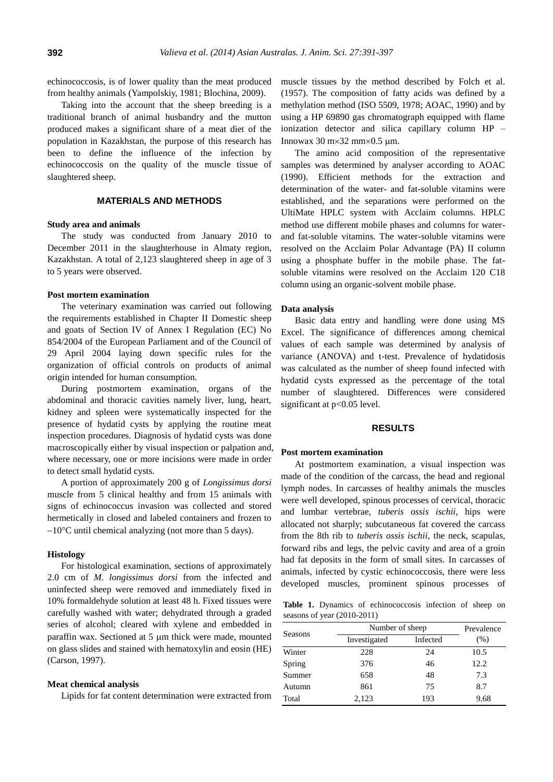echinococcosis, is of lower quality than the meat produced from healthy animals (Yampolskiy, 1981; Blochina, 2009).

Taking into the account that the sheep breeding is a traditional branch of animal husbandry and the mutton produced makes a significant share of a meat diet of the population in Kazakhstan, the purpose of this research has been to define the influence of the infection by echinococcosis on the quality of the muscle tissue of slaughtered sheep.

# **MATERIALS AND METHODS**

#### **Study area and animals**

The study was conducted from January 2010 to December 2011 in the slaughterhouse in Almaty region, Kazakhstan. A total of 2,123 slaughtered sheep in age of 3 to 5 years were observed.

#### **Post mortem examination**

The veterinary examination was carried out following the requirements established in Chapter II Domestic sheep and goats of Section IV of Annex I Regulation (EC) No 854/2004 of the European Parliament and of the Council of 29 April 2004 laying down specific rules for the organization of official controls on products of animal origin intended for human consumption.

During postmortem examination, organs of the abdominal and thoracic cavities namely liver, lung, heart, kidney and spleen were systematically inspected for the presence of hydatid cysts by applying the routine meat inspection procedures. Diagnosis of hydatid cysts was done macroscopically either by visual inspection or palpation and, where necessary, one or more incisions were made in order to detect small hydatid cysts.

A portion of approximately 200 g of *Longissimus dorsi*  muscle from 5 clinical healthy and from 15 animals with signs of echinococcus invasion was collected and stored hermetically in closed and labeled containers and frozen to  $-10^{\circ}$ C until chemical analyzing (not more than 5 days).

#### **Histology**

For histological examination, sections of approximately 2.0 cm of *M. longissimus dorsi* from the infected and uninfected sheep were removed and immediately fixed in 10% formaldehyde solution at least 48 h. Fixed tissues were carefully washed with water; dehydrated through a graded series of alcohol; cleared with xylene and embedded in paraffin wax. Sectioned at  $5 \mu m$  thick were made, mounted on glass slides and stained with hematoxylin and eosin (HE) (Carson, 1997).

#### **Meat chemical analysis**

Lipids for fat content determination were extracted from

muscle tissues by the method described by Folch et al. (1957). The composition of fatty acids was defined by a methylation method (ISO 5509, 1978; AOAC, 1990) and by using a HP 69890 gas chromatograph equipped with flame ionization detector and silica capillary column HP – Innowax  $30 \text{ m} \times 32 \text{ mm} \times 0.5 \text{ }\mu\text{m}$ .

The amino acid composition of the representative samples was determined by analyser according to AOAC (1990). Efficient methods for the extraction and determination of the water- and fat-soluble vitamins were established, and the separations were performed on the UltiMate HPLC system with Acclaim columns. HPLC method use different mobile phases and columns for waterand fat-soluble vitamins. The water-soluble vitamins were resolved on the Acclaim Polar Advantage (PA) II column using a phosphate buffer in the mobile phase. The fatsoluble vitamins were resolved on the Acclaim 120 C18 column using an organic-solvent mobile phase.

#### **Data analysis**

Basic data entry and handling were done using MS Excel. The significance of differences among chemical values of each sample was determined by analysis of variance (ANOVA) and t-test. Prevalence of hydatidosis was calculated as the number of sheep found infected with hydatid cysts expressed as the percentage of the total number of slaughtered. Differences were considered significant at  $p<0.05$  level.

# **RESULTS**

#### **Post mortem examination**

At postmortem examination, a visual inspection was made of the condition of the carcass, the head and regional lymph nodes. In carcasses of healthy animals the muscles were well developed, spinous processes of cervical, thoracic and lumbar vertebrae, *tuberis ossis ischii*, hips were allocated not sharply; subcutaneous fat covered the carcass from the 8th rib to *tuberis ossis ischii*, the neck, scapulas, forward ribs and legs, the pelvic cavity and area of a groin had fat deposits in the form of small sites. In carcasses of animals, infected by cystic echinococcosis, there were less developed muscles, prominent spinous processes of

**Table 1.** Dynamics of echinococcosis infection of sheep on seasons of year (2010-2011)

|         | Number of sheep |          | Prevalence |
|---------|-----------------|----------|------------|
| Seasons | Investigated    | Infected | (% )       |
| Winter  | 228             | 24       | 10.5       |
| Spring  | 376             | 46       | 12.2       |
| Summer  | 658             | 48       | 7.3        |
| Autumn  | 861             | 75       | 8.7        |
| Total   | 2,123           | 193      | 9.68       |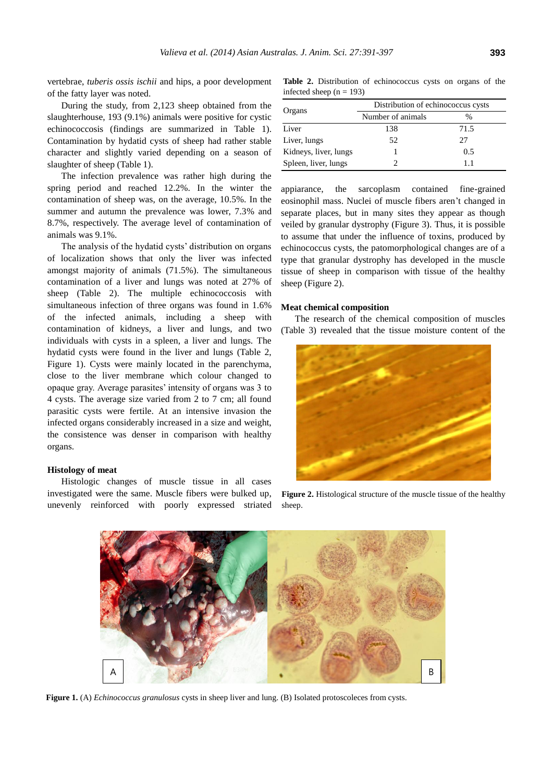vertebrae, *tuberis ossis ischii* and hips, a poor development of the fatty layer was noted.

During the study, from 2,123 sheep obtained from the slaughterhouse, 193 (9.1%) animals were positive for cystic echinococcosis (findings are summarized in Table 1). Contamination by hydatid cysts of sheep had rather stable character and slightly varied depending on a season of slaughter of sheep (Table 1).

The infection prevalence was rather high during the spring period and reached 12.2%. In the winter the contamination of sheep was, on the average, 10.5%. In the summer and autumn the prevalence was lower, 7.3% and 8.7%, respectively. The average level of contamination of animals was 9.1%.

The analysis of the hydatid cysts' distribution on organs of localization shows that only the liver was infected amongst majority of animals (71.5%). The simultaneous contamination of a liver and lungs was noted at 27% of sheep (Table 2). The multiple echinococcosis with simultaneous infection of three organs was found in 1.6% of the infected animals, including a sheep with contamination of kidneys, a liver and lungs, and two individuals with cysts in a spleen, a liver and lungs. The hydatid cysts were found in the liver and lungs (Table 2, Figure 1). Cysts were mainly located in the parenchyma, close to the liver membrane which colour changed to opaque gray. Average parasites' intensity of organs was 3 to 4 cysts. The average size varied from 2 to 7 cm; all found parasitic cysts were fertile. At an intensive invasion the infected organs considerably increased in a size and weight, the consistence was denser in comparison with healthy organs.

### **Histology of meat**

Histologic changes of muscle tissue in all cases investigated were the same. Muscle fibers were bulked up, unevenly reinforced with poorly expressed striated

**Table 2.** Distribution of echinococcus cysts on organs of the infected sheep  $(n = 193)$ 

|                       | Distribution of echinococcus cysts |      |  |
|-----------------------|------------------------------------|------|--|
| Organs                | Number of animals                  | $\%$ |  |
| Liver                 | 138                                | 71.5 |  |
| Liver, lungs          | 52                                 | 27   |  |
| Kidneys, liver, lungs |                                    | 0.5  |  |
| Spleen, liver, lungs  |                                    | 11   |  |

appiarance, the sarcoplasm contained fine-grained eosinophil mass. Nuclei of muscle fibers aren't changed in separate places, but in many sites they appear as though veiled by granular dystrophy (Figure 3). Thus, it is possible to assume that under the influence of toxins, produced by echinococcus cysts, the patomorphological changes are of a type that granular dystrophy has developed in the muscle tissue of sheep in comparison with tissue of the healthy sheep (Figure 2).

#### **Meat chemical composition**

The research of the chemical composition of muscles (Table 3) revealed that the tissue moisture content of the



**Figure 2.** Histological structure of the muscle tissue of the healthy sheep.



**Figure 1.** (A) *Echinococcus granulosus* cysts in sheep liver and lung. (B) Isolated protoscoleces from cysts.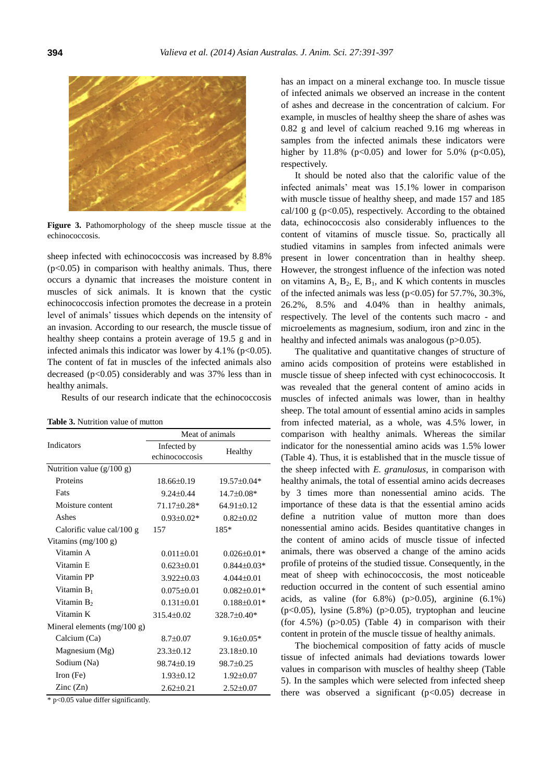

**Figure 3.** Pathomorphology of the sheep muscle tissue at the echinococcosis.

sheep infected with echinococcosis was increased by 8.8%  $(p<0.05)$  in comparison with healthy animals. Thus, there occurs a dynamic that increases the moisture content in muscles of sick animals. It is known that the cystic echinococcosis infection promotes the decrease in a protein level of animals' tissues which depends on the intensity of an invasion. According to our research, the muscle tissue of healthy sheep contains a protein average of 19.5 g and in infected animals this indicator was lower by  $4.1\%$  (p<0.05). The content of fat in muscles of the infected animals also decreased  $(p<0.05)$  considerably and was 37% less than in healthy animals.

Results of our research indicate that the echinococcosis

|                                      | Meat of animals               |                   |  |
|--------------------------------------|-------------------------------|-------------------|--|
| <b>Indicators</b>                    | Infected by<br>echinococcosis | Healthy           |  |
| Nutrition value $(g/100 g)$          |                               |                   |  |
| Proteins                             | $18.66\pm0.19$                | $19.57 \pm 0.04*$ |  |
| Fats                                 | $9.24 \pm 0.44$               | $14.7\pm0.08*$    |  |
| Moisture content                     | 71.17±0.28*                   | $64.91 \pm 0.12$  |  |
| Ashes                                | $0.93 \pm 0.02*$              | $0.82{\pm}0.02$   |  |
| Calorific value cal/ $100 \text{ g}$ | 157                           | $185*$            |  |
| Vitamins $(mg/100 g)$                |                               |                   |  |
| Vitamin A                            | $0.011 \pm 0.01$              | $0.026 \pm 0.01*$ |  |
| Vitamin <sub>E</sub>                 | $0.623 \pm 0.01$              | $0.844 \pm 0.03*$ |  |
| Vitamin PP                           | $3.922 \pm 0.03$              | $4.044\pm0.01$    |  |
| Vitamin $B_1$                        | $0.075 \pm 0.01$              | $0.082 \pm 0.01*$ |  |
| Vitamin $B_2$                        | $0.131 \pm 0.01$              | $0.188 \pm 0.01*$ |  |
| Vitamin K                            | $315.4 \pm 0.02$              | 328.7±0.40*       |  |
| Mineral elements $(mg/100 g)$        |                               |                   |  |
| Calcium (Ca)                         | $8.7 \pm 0.07$                | $9.16 \pm 0.05*$  |  |
| Magnesium (Mg)                       | $23.3 \pm 0.12$               | $23.18 \pm 0.10$  |  |
| Sodium (Na)                          | 98.74±0.19                    | 98.7±0.25         |  |
| Iron $(Fe)$                          | $1.93 \pm 0.12$               | $1.92 \pm 0.07$   |  |
| $\text{Zinc}(\text{Zn})$             | $2.62 \pm 0.21$               | $2.52 \pm 0.07$   |  |

\* p<0.05 value differ significantly.

has an impact on a mineral exchange too. In muscle tissue of infected animals we observed an increase in the content of ashes and decrease in the concentration of calcium. For example, in muscles of healthy sheep the share of ashes was 0.82 g and level of calcium reached 9.16 mg whereas in samples from the infected animals these indicators were higher by 11.8% ( $p<0.05$ ) and lower for 5.0% ( $p<0.05$ ), respectively.

It should be noted also that the calorific value of the infected animals' meat was 15.1% lower in comparison with muscle tissue of healthy sheep, and made 157 and 185 cal/100 g ( $p<0.05$ ), respectively. According to the obtained data, echinococcosis also considerably influences to the content of vitamins of muscle tissue. So, practically all studied vitamins in samples from infected animals were present in lower concentration than in healthy sheep. However, the strongest influence of the infection was noted on vitamins  $A, B_2, E, B_1$ , and K which contents in muscles of the infected animals was less ( $p<0.05$ ) for 57.7%, 30.3%, 26.2%, 8.5% and 4.04% than in healthy animals, respectively. The level of the contents such macro - and microelements as magnesium, sodium, iron and zinc in the healthy and infected animals was analogous (p>0.05).

The qualitative and quantitative changes of structure of amino acids composition of proteins were established in muscle tissue of sheep infected with cyst echinococcosis. It was revealed that the general content of amino acids in muscles of infected animals was lower, than in healthy sheep. The total amount of essential amino acids in samples from infected material, as a whole, was 4.5% lower, in comparison with healthy animals. Whereas the similar indicator for the nonessential amino acids was 1.5% lower (Table 4). Thus, it is established that in the muscle tissue of the sheep infected with *E. granulosus*, in comparison with healthy animals, the total of essential amino acids decreases by 3 times more than nonessential amino acids. The importance of these data is that the essential amino acids define a nutrition value of mutton more than does nonessential amino acids. Besides quantitative changes in the content of amino acids of muscle tissue of infected animals, there was observed a change of the amino acids profile of proteins of the studied tissue. Consequently, in the meat of sheep with echinococcosis, the most noticeable reduction occurred in the content of such essential amino acids, as valine (for  $6.8\%$ ) (p $>0.05$ ), arginine (6.1%) ( $p<0.05$ ), lysine (5.8%) ( $p>0.05$ ), tryptophan and leucine (for  $4.5\%$ ) ( $p>0.05$ ) (Table 4) in comparison with their content in protein of the muscle tissue of healthy animals.

The biochemical composition of fatty acids of muscle tissue of infected animals had deviations towards lower values in comparison with muscles of healthy sheep (Table 5). In the samples which were selected from infected sheep there was observed a significant  $(p<0.05)$  decrease in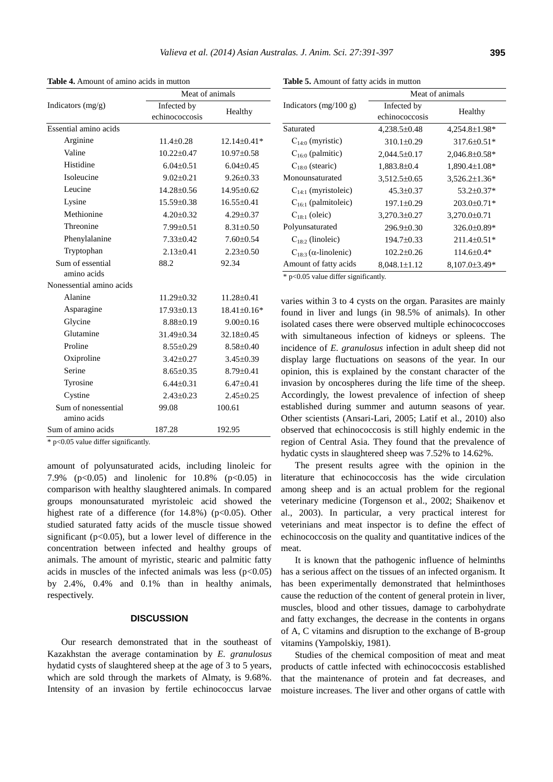|                          | Meat of animals  |                  |  |
|--------------------------|------------------|------------------|--|
| Indicators (mg/g)        | Infected by      |                  |  |
|                          | echinococcosis   | Healthy          |  |
| Essential amino acids    |                  |                  |  |
| Arginine                 | $11.4 \pm 0.28$  | 12.14±0.41*      |  |
| Valine                   | $10.22 \pm 0.47$ | $10.97 \pm 0.58$ |  |
| Histidine                | $6.04 \pm 0.51$  | $6.04 \pm 0.45$  |  |
| Isoleucine               | $9.02 \pm 0.21$  | $9.26 \pm 0.33$  |  |
| Leucine                  | 14.28±0.56       | 14.95±0.62       |  |
| Lysine                   | 15.59±0.38       | $16.55 \pm 0.41$ |  |
| Methionine               | $4.20 \pm 0.32$  | $4.29 \pm 0.37$  |  |
| Threonine                | $7.99 \pm 0.51$  | $8.31 \pm 0.50$  |  |
| Phenylalanine            | $7.33 \pm 0.42$  | $7.60 \pm 0.54$  |  |
| Tryptophan               | $2.13 \pm 0.41$  | $2.23 \pm 0.50$  |  |
| Sum of essential         | 88.2             | 92.34            |  |
| amino acids              |                  |                  |  |
| Nonessential amino acids |                  |                  |  |
| Alanine                  | 11.29±0.32       | $11.28 \pm 0.41$ |  |
| Asparagine               | $17.93 \pm 0.13$ | 18.41±0.16*      |  |
| Glycine                  | $8.88 \pm 0.19$  | $9.00 \pm 0.16$  |  |
| Glutamine                | 31.49±0.34       | 32.18±0.45       |  |
| Proline                  | $8.55 \pm 0.29$  | $8.58 \pm 0.40$  |  |
| Oxiproline               | $3.42 \pm 0.27$  | $3.45 \pm 0.39$  |  |
| Serine                   | $8.65 \pm 0.35$  | $8.79 \pm 0.41$  |  |
| Tyrosine                 | $6.44 \pm 0.31$  | $6.47 \pm 0.41$  |  |
| Cystine                  | $2.43 \pm 0.23$  | $2.45 \pm 0.25$  |  |
| Sum of nonessential      | 99.08            | 100.61           |  |
| amino acids              |                  |                  |  |
| Sum of amino acids       | 187.28           | 192.95           |  |

**Table 4.** Amount of amino acids in mutton

\* p<0.05 value differ significantly.

amount of polyunsaturated acids, including linoleic for 7.9% (p<0.05) and linolenic for 10.8% (p<0.05) in comparison with healthy slaughtered animals. In compared groups monounsaturated myristoleic acid showed the highest rate of a difference (for  $14.8\%$ ) (p<0.05). Other studied saturated fatty acids of the muscle tissue showed significant ( $p<0.05$ ), but a lower level of difference in the concentration between infected and healthy groups of animals. The amount of myristic, stearic and palmitic fatty acids in muscles of the infected animals was less  $(p<0.05)$ by 2.4%, 0.4% and 0.1% than in healthy animals, respectively.

# **DISCUSSION**

Our research demonstrated that in the southeast of Kazakhstan the average contamination by *E. granulosus* hydatid cysts of slaughtered sheep at the age of 3 to 5 years, which are sold through the markets of Almaty, is 9.68%. Intensity of an invasion by fertile echinococcus larvae

**Table 5.** Amount of fatty acids in mutton

|                                   | Meat of animals    |                      |  |
|-----------------------------------|--------------------|----------------------|--|
| Indicators $(mg/100 g)$           | Infected by        | Healthy              |  |
|                                   | echinococcosis     |                      |  |
| Saturated                         | $4,238.5 \pm 0.48$ | $4,254.8\pm1.98*$    |  |
| $C_{14:0}$ (myristic)             | $310.1 \pm 0.29$   | $317.6\pm0.51*$      |  |
| $C_{160}$ (palmitic)              | $2,044.5 \pm 0.17$ | $2,046.8 \pm 0.58$ * |  |
| $C_{18:0}$ (stearic)              | $1,883.8 \pm 0.4$  | 1,890.4±1.08*        |  |
| Monounsaturated                   | $3,512.5\pm0.65$   | $3,526.2 \pm 1.36*$  |  |
| $C_{14-1}$ (myristoleic)          | $45.3 \pm 0.37$    | $53.2 \pm 0.37*$     |  |
| $C_{16:1}$ (palmitoleic)          | $197.1 \pm 0.29$   | $203.0 \pm 0.71*$    |  |
| $C_{18-1}$ (oleic)                | $3,270.3 \pm 0.27$ | $3,270.0 \pm 0.71$   |  |
| Polyunsaturated                   | $296.9 \pm 0.30$   | $326.0 \pm 0.89*$    |  |
| $C_{18.2}$ (linoleic)             | $194.7 \pm 0.33$   | $211.4\pm 0.51*$     |  |
| $C_{18.3}$ ( $\alpha$ -linolenic) | $102.2 \pm 0.26$   | $114.6 \pm 0.4*$     |  |
| Amount of fatty acids             | $8,048.1 \pm 1.12$ | $8,107.0 \pm 3.49*$  |  |

\* p<0.05 value differ significantly.

varies within 3 to 4 cysts on the organ. Parasites are mainly found in liver and lungs (in 98.5% of animals). In other isolated cases there were observed multiple echinococcoses with simultaneous infection of kidneys or spleens. The incidence of *E. granulosus* infection in adult sheep did not display large fluctuations on seasons of the year. In our opinion, this is explained by the constant character of the invasion by oncospheres during the life time of the sheep. Accordingly, the lowest prevalence of infection of sheep established during summer and autumn seasons of year. Other scientists (Ansari-Lari, 2005; Latif et al., 2010) also observed that echinococcosis is still highly endemic in the region of Central Asia. They found that the prevalence of hydatic cysts in slaughtered sheep was 7.52% to 14.62%.

The present results agree with the opinion in the literature that echinococcosis has the wide circulation among sheep and is an actual problem for the regional veterinary medicine (Torgenson et al., 2002; Shaikenov et al., 2003). In particular, a very practical interest for veterinians and meat inspector is to define the effect of echinococcosis on the quality and quantitative indices of the meat.

It is known that the pathogenic influence of helminths has a serious affect on the tissues of an infected organism. It has been experimentally demonstrated that helminthoses cause the reduction of the content of general protein in liver, muscles, blood and other tissues, damage to carbohydrate and fatty exchanges, the decrease in the contents in organs of A, C vitamins and disruption to the exchange of B-group vitamins (Yampolskiy, 1981).

Studies of the chemical composition of meat and meat products of cattle infected with echinococcosis established that the maintenance of protein and fat decreases, and moisture increases. The liver and other organs of cattle with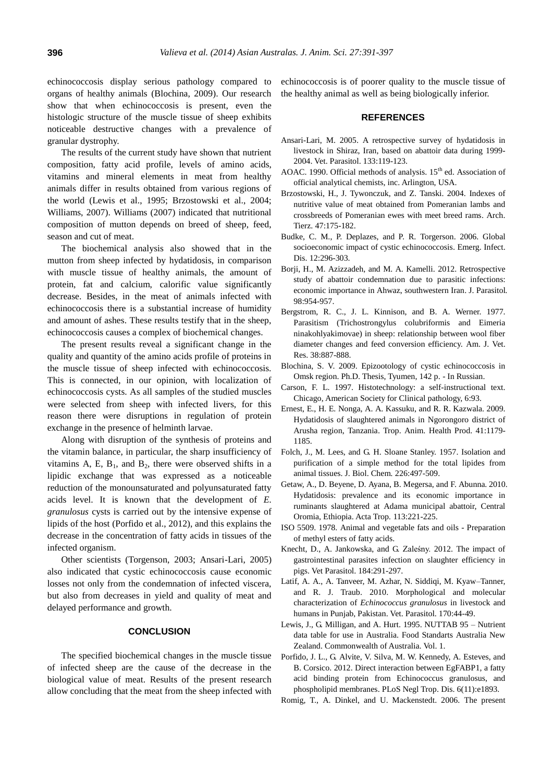echinococcosis display serious pathology compared to organs of healthy animals (Blochina, 2009). Our research show that when echinococcosis is present, even the histologic structure of the muscle tissue of sheep exhibits noticeable destructive changes with a prevalence of granular dystrophy.

The results of the current study have shown that nutrient composition, fatty acid profile, levels of amino acids, vitamins and mineral elements in meat from healthy animals differ in results obtained from various regions of the world (Lewis et al., 1995; Brzostowski et al., 2004; Williams, 2007). Williams (2007) indicated that nutritional composition of mutton depends on breed of sheep, feed, season and cut of meat.

The biochemical analysis also showed that in the mutton from sheep infected by hydatidosis, in comparison with muscle tissue of healthy animals, the amount of protein, fat and calcium, calorific value significantly decrease. Besides, in the meat of animals infected with echinococcosis there is a substantial increase of humidity and amount of ashes. These results testify that in the sheep, echinococcosis causes a complex of biochemical changes.

The present results reveal a significant change in the quality and quantity of the amino acids profile of proteins in the muscle tissue of sheep infected with echinococcosis. This is connected, in our opinion, with localization of echinococcosis cysts. As all samples of the studied muscles were selected from sheep with infected livers, for this reason there were disruptions in regulation of protein exchange in the presence of helminth larvae.

Along with disruption of the synthesis of proteins and the vitamin balance, in particular, the sharp insufficiency of vitamins A, E,  $B_1$ , and  $B_2$ , there were observed shifts in a lipidic exchange that was expressed as a noticeable reduction of the monounsaturated and polyunsaturated fatty acids level. It is known that the development of *E. granulosus* cysts is carried out by the intensive expense of lipids of the host (Porfido et al., 2012), and this explains the decrease in the concentration of fatty acids in tissues of the infected organism.

Other scientists (Torgenson, 2003; Ansari-Lari, 2005) also indicated that cystic echinococcosis cause economic losses not only from the condemnation of infected viscera, but also from decreases in yield and quality of meat and delayed performance and growth.

# **CONCLUSION**

The specified biochemical changes in the muscle tissue of infected sheep are the cause of the decrease in the biological value of meat. Results of the present research allow concluding that the meat from the sheep infected with echinococcosis is of poorer quality to the muscle tissue of the healthy animal as well as being biologically inferior.

# **REFERENCES**

- Ansari-Lari, M. 2005. [A retrospective survey of hydatidosis in](http://www.sciencedirect.com/science/article/pii/S0304401705002554)  [livestock in Shiraz, Iran, based on abattoir data during 1999-](http://www.sciencedirect.com/science/article/pii/S0304401705002554) [2004.](http://www.sciencedirect.com/science/article/pii/S0304401705002554) Vet. Parasitol. 133:119-123.
- AOAC. 1990. Official methods of analysis. 15<sup>th</sup> ed. Association of official analytical chemists, inc. Arlington, USA.
- Brzostowski, H., J. Tywonczuk, and Z. Tanski. 2004. [Indexes of](http://www.archanimbreed.com/pdf/2004/at04sip175.pdf)  [nutritive value of meat obtained from Pomeranian lambs and](http://www.archanimbreed.com/pdf/2004/at04sip175.pdf)  [crossbreeds of Pomeranian ewes with meet breed rams.](http://www.archanimbreed.com/pdf/2004/at04sip175.pdf) Arch. Tierz. 47:175-182.
- Budke, C. M., P. [Deplazes,](http://www.ncbi.nlm.nih.gov/pubmed?term=Deplazes%20P%5BAuthor%5D&cauthor=true&cauthor_uid=16494758) and P. R. [Torgerson. 2](http://www.ncbi.nlm.nih.gov/pubmed?term=Torgerson%20PR%5BAuthor%5D&cauthor=true&cauthor_uid=16494758)006. [Global](http://wwwnc.cdc.gov/eid/article/12/2/05-0499_article.htm)  [socioeconomic impact of cystic echinococcosis.](http://wwwnc.cdc.gov/eid/article/12/2/05-0499_article.htm) [Emerg.](http://www.ncbi.nlm.nih.gov/pubmed/16494758) Infect. [Dis.](http://www.ncbi.nlm.nih.gov/pubmed/16494758) 12:296-303.
- [Borji, H.](http://www.ncbi.nlm.nih.gov/pubmed?term=Borji%20H%5BAuthor%5D&cauthor=true&cauthor_uid=22568697), M. [Azizzadeh, and M](http://www.ncbi.nlm.nih.gov/pubmed?term=Azizzadeh%20M%5BAuthor%5D&cauthor=true&cauthor_uid=22568697). A. [Kamelli. 2](http://www.ncbi.nlm.nih.gov/pubmed?term=Kamelli%20M%5BAuthor%5D&cauthor=true&cauthor_uid=22568697)012. [Retrospective](http://www.journalofparasitology.org/doi/abs/10.1645/ge-2988.1)  [study of abattoir condemnation due to parasitic infections:](http://www.journalofparasitology.org/doi/abs/10.1645/ge-2988.1)  [economic importance in Ahwaz, southwestern Iran.](http://www.journalofparasitology.org/doi/abs/10.1645/ge-2988.1) J. [Parasitol](http://www.ncbi.nlm.nih.gov/pubmed/22568697)*.* 98:954-957.
- Bergstrom, R. C., J. L. [Kinnison, and B](http://www.ncbi.nlm.nih.gov/pubmed?term=Kinnison%20JL%5BAuthor%5D&cauthor=true&cauthor_uid=879585). A. [Werner. 1](http://www.ncbi.nlm.nih.gov/pubmed?term=Werner%20BA%5BAuthor%5D&cauthor=true&cauthor_uid=879585)977. Parasitism (Trichostrongylus colubriformis and Eimeria ninakohlyakimovae) in sheep: relationship between wool fiber diameter changes and feed conversion efficiency. [Am.](http://www.ncbi.nlm.nih.gov/pubmed/879585) J. Vet. [Res.](http://www.ncbi.nlm.nih.gov/pubmed/879585) 38:887-888.
- Blochina, S. V. 2009. Epizootology of cystic echinococcosis in Omsk region. Ph.D. Thesis, Tyumen, 142 p. - In Russian.
- Carson, F. L. 1997. Histotechnology: a self-instructional text. Chicago, American Society for Clinical pathology, 6:93.
- [Ernest, E.](http://www.ncbi.nlm.nih.gov/pubmed?term=Ernest%20E%5BAuthor%5D&cauthor=true&cauthor_uid=19105043), H. E. [Nonga, A](http://www.ncbi.nlm.nih.gov/pubmed?term=Nonga%20HE%5BAuthor%5D&cauthor=true&cauthor_uid=19105043). A. [Kassuku, and R](http://www.ncbi.nlm.nih.gov/pubmed?term=Kassuku%20AA%5BAuthor%5D&cauthor=true&cauthor_uid=19105043). R. [Kazwala.](http://www.ncbi.nlm.nih.gov/pubmed?term=Kazwala%20RR%5BAuthor%5D&cauthor=true&cauthor_uid=19105043) 2009. [Hydatidosis of slaughtered animals in Ngorongoro district of](http://link.springer.com/article/10.1007/s11250-008-9298-z)  [Arusha region, Tanzania.](http://link.springer.com/article/10.1007/s11250-008-9298-z) Trop. Anim. [Health Prod.](http://www.ncbi.nlm.nih.gov/pubmed/19105043) 41:1179- 1185.
- Folch, J., M. Lees, and G. H. Sloane Stanley. 1957. Isolation and purification of a simple method for the total lipides from animal tissues. J. Biol. Chem*.* 226:497-509.
- [Getaw, A.,](http://www.ncbi.nlm.nih.gov/pubmed?term=Getaw%20A%5BAuthor%5D&cauthor=true&cauthor_uid=19883622) D. [Beyene,](http://www.ncbi.nlm.nih.gov/pubmed?term=Beyene%20D%5BAuthor%5D&cauthor=true&cauthor_uid=19883622) D[. Ayana,](http://www.ncbi.nlm.nih.gov/pubmed?term=Ayana%20D%5BAuthor%5D&cauthor=true&cauthor_uid=19883622) B[. Megersa, and F](http://www.ncbi.nlm.nih.gov/pubmed?term=Megersa%20B%5BAuthor%5D&cauthor=true&cauthor_uid=19883622)[. Abunna.](http://www.ncbi.nlm.nih.gov/pubmed?term=Abunna%20F%5BAuthor%5D&cauthor=true&cauthor_uid=19883622) 2010. [Hydatidosis: prevalence and its economic importance in](http://www.sciencedirect.com/science/article/pii/S0001706X09003398)  [ruminants slaughtered at Adama municipal abattoir, Central](http://www.sciencedirect.com/science/article/pii/S0001706X09003398)  [Oromia, Ethiopia.](http://www.sciencedirect.com/science/article/pii/S0001706X09003398) [Acta Trop](http://www.ncbi.nlm.nih.gov/pubmed/19883622)*.* 113:221-225.
- ISO 5509. 1978. Animal and vegetable fats and oils Preparation of methyl esters of fatty acids.
- [Knecht, D.](http://www.ncbi.nlm.nih.gov/pubmed?term=Knecht%20D%5BAuthor%5D&cauthor=true&cauthor_uid=21955735), A. [Jankowska, a](http://www.ncbi.nlm.nih.gov/pubmed?term=Jankowska%20A%5BAuthor%5D&cauthor=true&cauthor_uid=21955735)nd G. [Zaleśny.](http://www.ncbi.nlm.nih.gov/pubmed?term=Zale%C5%9Bny%20G%5BAuthor%5D&cauthor=true&cauthor_uid=21955735) 2012. [The impact of](http://www.sciencedirect.com/science/article/pii/S030440171100608X)  [gastrointestinal parasites infection on slaughter efficiency in](http://www.sciencedirect.com/science/article/pii/S030440171100608X)  [pigs.](http://www.sciencedirect.com/science/article/pii/S030440171100608X) [Vet Parasitol.](http://www.ncbi.nlm.nih.gov/pubmed/21955735) 184:291-297.
- Latif, A. A., A. Tanveer, M. Azhar, N. Siddiqi, M. Kyaw–Tanner, and R. J. Traub. 2010. [Morphological and molecular](http://www.sciencedirect.com/science/article/pii/S0304401710000841)  characterization of *[Echinococcus granulosus](http://www.sciencedirect.com/science/article/pii/S0304401710000841)* in livestock and [humans in Punjab, Pakistan.](http://www.sciencedirect.com/science/article/pii/S0304401710000841) Vet. Parasitol. 170:44-49.
- Lewis, J., G. Milligan, and A. Hurt. 1995. NUTTAB 95 Nutrient data table for use in Australia. Food Standarts Australia New Zealand. Commonwealth of Australia. Vol. 1.
- [Porfido, J. L.](http://www.ncbi.nlm.nih.gov/pubmed?term=Porfido%20JL%5BAuthor%5D&cauthor=true&cauthor_uid=23166848), G. [Alvite, V](http://www.ncbi.nlm.nih.gov/pubmed?term=Alvite%20G%5BAuthor%5D&cauthor=true&cauthor_uid=23166848)[. Silva, M](http://www.ncbi.nlm.nih.gov/pubmed?term=Silva%20V%5BAuthor%5D&cauthor=true&cauthor_uid=23166848). W. [Kennedy, A](http://www.ncbi.nlm.nih.gov/pubmed?term=Kennedy%20MW%5BAuthor%5D&cauthor=true&cauthor_uid=23166848). [Esteves, and](http://www.ncbi.nlm.nih.gov/pubmed?term=Esteves%20A%5BAuthor%5D&cauthor=true&cauthor_uid=23166848)  B. [Corsico.](http://www.ncbi.nlm.nih.gov/pubmed?term=Corsico%20B%5BAuthor%5D&cauthor=true&cauthor_uid=23166848) 2012. [Direct interaction between EgFABP1, a fatty](http://www.plosntds.org/article/info%3Adoi%2F10.1371%2Fjournal.pntd.0001893)  [acid binding protein from Echinococcus granulosus, and](http://www.plosntds.org/article/info%3Adoi%2F10.1371%2Fjournal.pntd.0001893)  [phospholipid membranes.](http://www.plosntds.org/article/info%3Adoi%2F10.1371%2Fjournal.pntd.0001893) [PLoS Negl Trop.](http://www.ncbi.nlm.nih.gov/pubmed/23166848) Dis. 6(11):e1893.
- Romig, T., A. Dinkel, and U. Mackenstedt. 2006. [The present](http://www.sciencedirect.com/science/article/pii/S1383576905001339)